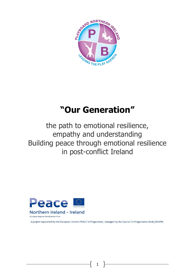

# **"Our Generation"**

the path to emotional resilience, empathy and understanding Building peace through emotional resilience in post-conflict Ireland



A project supported by the European Union's PEACE IV Programme, managed by the Special EU Programmes Body (SEUPB)

1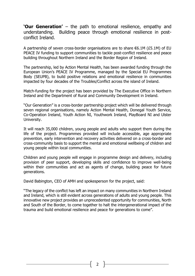**'Our Generation'** – the path to emotional resilience, empathy and understanding. Building peace through emotional resilience in postconflict Ireland.

A partnership of seven cross-border organisations are to share  $\epsilon$ 6.1M (£5.1M) of EU PEACE IV funding to support communities to tackle post-conflict resilience and peace building throughout Northern Ireland and the Border Region of Ireland.

The partnership, led by Action Mental Health, has been awarded funding through the European Union's PEACE IV Programme, managed by the Special EU Programmes Body (SEUPB), to build positive relations and emotional resilience in communities impacted by four decades of the Troubles/Conflict across the island of Ireland.

Match-funding for the project has been provided by The Executive Office in Northern Ireland and the Department of Rural and Community Development in Ireland.

"Our Generation" is a cross-border partnership project which will be delivered through seven regional organisations, namely Action Mental Health, Donegal Youth Service, Co-Operation Ireland, Youth Action NI, Youthwork Ireland, PlayBoard NI and Ulster University.

It will reach 35,000 children, young people and adults who support them during the life of the project. Programmes provided will include accessible, age appropriate prevention, early intervention and recovery activities delivered on a cross-border and cross-community basis to support the mental and emotional wellbeing of children and young people within local communities.

Children and young people will engage in programme design and delivery, including provision of peer support, developing skills and confidence to improve well-being within their communities and act as agents of change, building peace for future generations.

David Babington, CEO of AMH and spokesperson for the project, said:

"The legacy of the conflict has left an impact on many communities in Northern Ireland and Ireland, which is still evident across generations of adults and young people. This innovative new project provides an unprecedented opportunity for communities, North and South of the Border, to come together to halt the intergenerational impact of the trauma and build emotional resilience and peace for generations to come".

 $\overline{2}$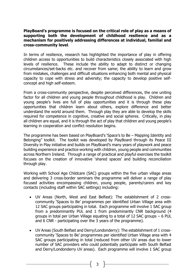#### **PlayBoard's programme is focused on the critical role of play as a means of supporting both the development of childhood resilience and as a mechanism for positively addressing differences at individual, familial and cross-community level**.

In terms of resilience, research has highlighted the importance of play in offering children access to opportunities to build characteristics closely associated with high levels of resilience. These include the ability to adapt to distinct or changing circumstances/set-backs etc. and recover from same; the ability to learn and grow from mistakes, challenges and difficult situations enhancing both mental and physical capacity to cope with stress and adversity; the capacity to develop positive selfconcept and high self-esteem.

From a cross-community perspective, despite perceived differences, the one uniting factor for all children and young people throughout childhood is play. Children and young people's lives are full of play opportunities and it is through these play opportunities that children learn about others, explore difference and better understand the world around them. Through play they are able to develop the skills required for competence in cognitive, creative and social spheres. Critically, in play all children are equal, and it is through the act of play that children and young people's learning in cooperation and conflict resolution begins.

The programme has been based on PlayBoard's 'Space's to Be – Mapping Identity and Belonging" toolkit. The toolkit was developed by PlayBoard through its Peace III Diversity in Play initiative and builds on PlayBoard's many years of playwork and peace building experience and practice working with children, young people and communities across Northern Ireland. Through a range of practical and playful exercises the toolkit focuses on the creation of innovative 'shared spaces' and building reconciliation through play.

Working with School Age Childcare (SAC) groups within the five urban village areas and delivering 3 cross-border seminars the programme will deliver a range of play focused activities encompassing children, young people, parents/carers and key contacts (including staff within SAC settings) including:

- UV Areas (North, West and East Belfast): The establishment of 2 crosscommunity 'Spaces to Be' programmes per identified Urban Village area with 12 SAC groups participating in total. Each programme will involve 1 SAC group from a predominantly PUL and 1 from predominantly CNR background (4 groups in total per Urban Village equating to a total of 12 SAC groups – 6 PUL and 6 CNR - participating over the 3 years of the programme).
- UV Areas (South Belfast and Derry/Londonderry): The establishment of 1 crosscommunity 'Spaces to Be' programmes per identified Urban Village area with 4 SAC groups participating in total (reduced from other UV areas due to lower number of SAC providers who could potentially participate with South Belfast and Derry/Londonderry UV areas). Each programme will involve 1 SAC group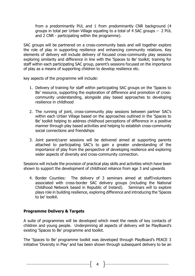from a predominantly PUL and 1 from predominantly CNR background (4 groups in total per Urban Village equating to a total of 4 SAC groups – 2 PUL and 2 CNR - participating within the programme).

SAC groups will be partnered on a cross-community basis and will together explore the role of play in supporting resilience and enhancing community relations. Key elements of delivery will include delivery of focused cross-community play sessions exploring similarity and difference in line with the 'Spaces to Be' toolkit; training for staff within each participating SAC group, parent's sessions focused on the importance of play as a means of supporting children to develop resilience etc.

key aspects of the programme will include:

- 1. Delivery of training for staff within participating SAC groups on the 'Spaces to Be' resource, supporting the exploration of difference and promotion of crosscommunity understanding, alongside play based approaches to developing resilience in childhood
- 2. The running of joint, cross-community play sessions between partner SAC's within each Urban Village based on the approaches outlined in the 'Spaces to Be' toolkit helping to address childhood perceptions of difference in a positive manner through play based activities and helping to establish cross-community social connections and friendships
- 3. Joint parent/carer sessions will be delivered aimed at supporting parents attached to participating SAC's to gain a greater understanding of the importance of play from the perspective of developing resilience and exploring wider aspects of diversity and cross-community connection.

Sessions will include the provision of practical play skills and activities which have been shown to support the development of childhood reliance from age 3 and upwards

4. Border Counties: The delivery of 3 seminars aimed at staff/volunteers associated with cross-border SAC delivery groups (including the National Childhood Network based in Republic of Ireland). Seminars will to explore plays role in building resilience, exploring difference and introducing the 'Spaces to be' toolkit.

# **Programme Delivery & Targets**

A suite of programmes will be developed which meet the needs of key contacts of children and young people. Underpinning all aspects of delivery will be PlayBoard's existing 'Spaces to Be' programme and toolkit.

The 'Spaces to Be' programme toolkit was developed through PlayBoard's PEACE 3 initiative 'Diversity in Play' and has been shown through subsequent delivery to be an

4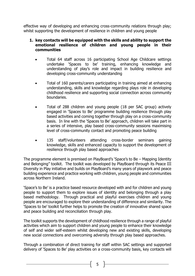effective way of developing and enhancing cross-community relations through play; whilst supporting the development of resilience in children and young people

## **1. key contacts will be equipped with the skills and ability to support the emotional resilience of children and young people in their communities**

- Total 64 staff across 16 participating School Age Childcare settings undertake 'Spaces to be' training, enhancing knowledge and understanding of play's role and impact in building resilience and developing cross-community understanding
- Total of 160 parents/carers participating in training aimed at enhancing understanding, skills and knowledge regarding plays role in developing childhood resilience and supporting social connection across community boundaries.
- Total of 288 children and young people (18 per SAC group) actively engaged in 'Spaces to Be' programme building resilience through play based activities and coming together through play on a cross-community basis. In line with the 'Spaces to Be' approach, children will take part in a series of intensive, play based cross-community sessions maximising level of cross-community contact and promoting peace building
- 135 staff/volunteers attending cross-border seminars gaining knowledge, skills and enhanced capacity to support the development of resilience through play based approaches

The programme element is premised on PlayBoard's 'Space's to Be – Mapping Identity and Belonging" toolkit. The toolkit was developed by PlayBoard through its Peace III Diversity in Play initiative and builds on PlayBoard's many years of playwork and peace building experience and practice working with children, young people and communities across Northern Ireland.

'Space's to Be' is a practice based resource developed with and for children and young people to support them to explore issues of identity and belonging through a play based methodology. Through practical and playful exercises children and young people are encouraged to explore their understanding of difference and similarity. The 'Spaces to be' toolkit further helps to promote the creation of innovative shared space and peace building and reconciliation through play.

The toolkit supports the development of childhood resilience through a range of playful activities which aim to support children and young people to enhance their knowledge of self and wider self-esteem whilst developing new and existing skills, developing new social connections and overcoming adversity through play based approaches.

Through a combination of direct training for staff within SAC settings and supported delivery of 'Spaces to Be' play activities on a cross-community basis, key contacts will

5